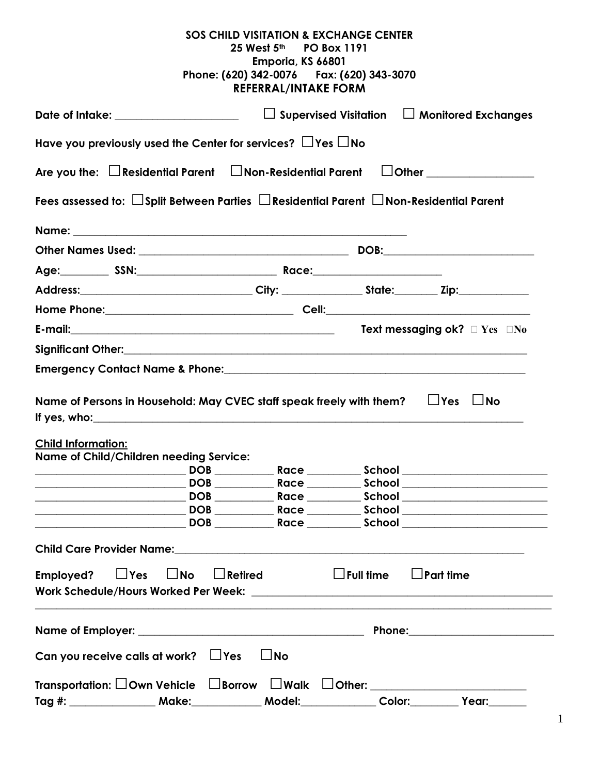|                                                                                                                          | <b>SOS CHILD VISITATION &amp; EXCHANGE CENTER</b>        |  |                                  |  |  |
|--------------------------------------------------------------------------------------------------------------------------|----------------------------------------------------------|--|----------------------------------|--|--|
|                                                                                                                          | 25 West 5 <sup>th</sup> PO Box 1191<br>Emporia, KS 66801 |  |                                  |  |  |
|                                                                                                                          | Phone: (620) 342-0076    Fax: (620) 343-3070             |  |                                  |  |  |
|                                                                                                                          | <b>REFERRAL/INTAKE FORM</b>                              |  |                                  |  |  |
| $\Box$ Supervised Visitation $\Box$ Monitored Exchanges<br>Date of Intake: ____________________                          |                                                          |  |                                  |  |  |
| Have you previously used the Center for services? $\Box$ Yes $\Box$ No                                                   |                                                          |  |                                  |  |  |
| Are you the: $\Box$ Residential Parent $\Box$ Non-Residential Parent                                                     |                                                          |  | $\Box$ Other ___________________ |  |  |
| Fees assessed to: $\Box$ Split Between Parties $\Box$ Residential Parent $\Box$ Non-Residential Parent                   |                                                          |  |                                  |  |  |
|                                                                                                                          |                                                          |  |                                  |  |  |
|                                                                                                                          |                                                          |  |                                  |  |  |
|                                                                                                                          |                                                          |  |                                  |  |  |
| Address:_________________________________City: ___________________State:__________ Zip:_____________                     |                                                          |  |                                  |  |  |
|                                                                                                                          |                                                          |  |                                  |  |  |
|                                                                                                                          |                                                          |  |                                  |  |  |
|                                                                                                                          |                                                          |  |                                  |  |  |
|                                                                                                                          |                                                          |  |                                  |  |  |
|                                                                                                                          |                                                          |  |                                  |  |  |
| Name of Persons in Household: May CVEC staff speak freely with them? $\Box$ Yes $\Box$ No<br>If yes, who: $\blacksquare$ |                                                          |  |                                  |  |  |
|                                                                                                                          |                                                          |  |                                  |  |  |
| <b>Child Information:</b>                                                                                                |                                                          |  |                                  |  |  |
| Name of Child/Children needing Service:                                                                                  |                                                          |  | DOB Race School Race             |  |  |
|                                                                                                                          |                                                          |  |                                  |  |  |
|                                                                                                                          |                                                          |  |                                  |  |  |
|                                                                                                                          |                                                          |  |                                  |  |  |
|                                                                                                                          |                                                          |  |                                  |  |  |
|                                                                                                                          |                                                          |  |                                  |  |  |
| $\Box$ Yes<br>$\Box$ No<br>Employed?                                                                                     | $\Box$ Retired $\Box$ Full time $\Box$ Part time         |  |                                  |  |  |
|                                                                                                                          |                                                          |  |                                  |  |  |
|                                                                                                                          |                                                          |  |                                  |  |  |
|                                                                                                                          |                                                          |  |                                  |  |  |
| Can you receive calls at work? $\Box$ Yes                                                                                | $\Box$ No                                                |  |                                  |  |  |
|                                                                                                                          |                                                          |  |                                  |  |  |
| Tag #: _____________________ Make:_______________ Model:________________________                                         |                                                          |  |                                  |  |  |

1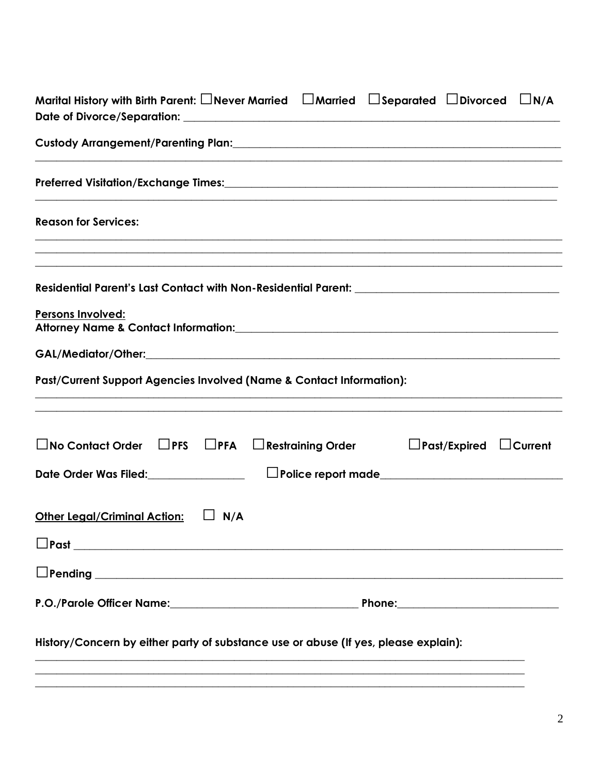| Marital History with Birth Parent: $\Box$ Never Married $\Box$ Married $\Box$ Separated $\Box$ Divorced $\Box$ N/A |  |  |  |
|--------------------------------------------------------------------------------------------------------------------|--|--|--|
|                                                                                                                    |  |  |  |
|                                                                                                                    |  |  |  |
| <b>Reason for Services:</b>                                                                                        |  |  |  |
| ,我们也不能在这里的人,我们也不能在这里的人,我们也不能在这里的人,我们也不能在这里的人,我们也不能在这里的人,我们也不能在这里的人,我们也不能在这里的人,我们也                                  |  |  |  |
|                                                                                                                    |  |  |  |
| <b>Persons Involved:</b><br>Attorney Name & Contact Information: Name of the Contact Information:                  |  |  |  |
|                                                                                                                    |  |  |  |
| Past/Current Support Agencies Involved (Name & Contact Information):                                               |  |  |  |
| $\Box$ No Contact Order $\Box$ PFS $\Box$ PFA<br>$\Box$ Restraining Order<br>$\Box$ Past/Expired $\Box$ Current    |  |  |  |
| Date Order Was Filed:_______________<br>Depolice report made                                                       |  |  |  |
| <b>Other Legal/Criminal Action:</b><br>$\Box$ N/A                                                                  |  |  |  |
|                                                                                                                    |  |  |  |
|                                                                                                                    |  |  |  |
|                                                                                                                    |  |  |  |
| History/Concern by either party of substance use or abuse (If yes, please explain):                                |  |  |  |